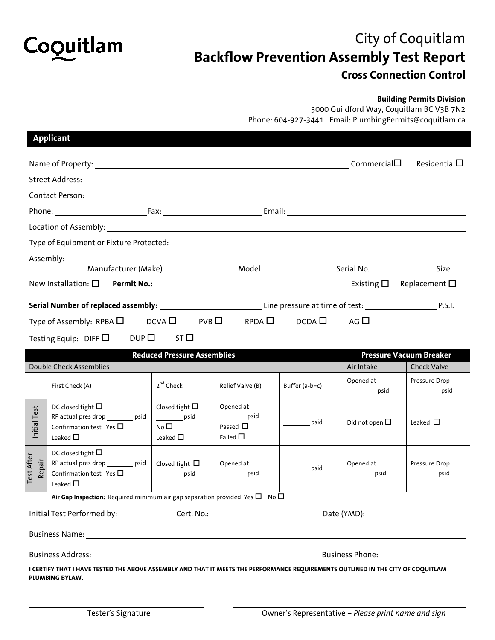

## City of Coquitlam **Backflow Prevention Assembly Test Report Cross Connection Control**

## **Building Permits Division**

3000 Guildford Way, Coquitlam BC V3B 7N2 Phone: 604-927-3441 Email: PlumbingPermits@coquitlam.ca

|                                                                                                                    | <b>Applicant</b>                                                                                                                                    |                                                                                         |                                                                          |                |                          |                                            |  |  |  |
|--------------------------------------------------------------------------------------------------------------------|-----------------------------------------------------------------------------------------------------------------------------------------------------|-----------------------------------------------------------------------------------------|--------------------------------------------------------------------------|----------------|--------------------------|--------------------------------------------|--|--|--|
|                                                                                                                    |                                                                                                                                                     |                                                                                         |                                                                          |                |                          | Residential                                |  |  |  |
|                                                                                                                    |                                                                                                                                                     |                                                                                         |                                                                          |                |                          |                                            |  |  |  |
|                                                                                                                    |                                                                                                                                                     |                                                                                         |                                                                          |                |                          |                                            |  |  |  |
|                                                                                                                    |                                                                                                                                                     |                                                                                         |                                                                          |                |                          |                                            |  |  |  |
| Location of Assembly: 1999 Contract to the Contract of Assembly:                                                   |                                                                                                                                                     |                                                                                         |                                                                          |                |                          |                                            |  |  |  |
|                                                                                                                    |                                                                                                                                                     |                                                                                         |                                                                          |                |                          |                                            |  |  |  |
|                                                                                                                    |                                                                                                                                                     |                                                                                         |                                                                          |                |                          |                                            |  |  |  |
| Manufacturer (Make)                                                                                                |                                                                                                                                                     |                                                                                         | Model                                                                    |                | Serial No.               | Size                                       |  |  |  |
|                                                                                                                    |                                                                                                                                                     |                                                                                         |                                                                          |                |                          |                                            |  |  |  |
|                                                                                                                    |                                                                                                                                                     |                                                                                         |                                                                          |                |                          |                                            |  |  |  |
| DCVA $\Box$<br>$DCDA$ $\Box$<br>AG $\square$<br>Type of Assembly: RPBA $\Box$<br>$PVB$ $\square$<br>$RPDA \square$ |                                                                                                                                                     |                                                                                         |                                                                          |                |                          |                                            |  |  |  |
| $DUP$ ST<br>Testing Equip: DIFF $\Box$                                                                             |                                                                                                                                                     |                                                                                         |                                                                          |                |                          |                                            |  |  |  |
| <b>Reduced Pressure Assemblies</b><br><b>Pressure Vacuum Breaker</b>                                               |                                                                                                                                                     |                                                                                         |                                                                          |                |                          |                                            |  |  |  |
| Double Check Assemblies                                                                                            |                                                                                                                                                     |                                                                                         |                                                                          |                | Air Intake               | <b>Check Valve</b>                         |  |  |  |
|                                                                                                                    | First Check (A)                                                                                                                                     | 2 <sup>nd</sup> Check                                                                   | Relief Valve (B)                                                         | Buffer (a-b=c) | Opened at<br><u>psid</u> | Pressure Drop<br>$\rule{1em}{0.15mm}$ psid |  |  |  |
| Initial Test                                                                                                       | DC closed tight $\square$<br>RP actual pres drop _________ psid<br>Confirmation test Yes $\square$<br>Leaked $\Box$                                 | Closed tight $\square$<br>$\rule{1em}{0.15mm}$ psid<br>No <sub>D</sub><br>Leaked $\Box$ | Opened at<br>$\rule{1em}{0.15mm}$ psid<br>Passed $\Box$<br>Failed $\Box$ | psid           | Did not open $\Box$      | Leaked $\Box$                              |  |  |  |
| <b>Test After</b><br>Repair                                                                                        | DC closed tight $\square$<br>RP actual pres drop ________ psid<br>Confirmation test Yes $\square$<br>Leaked $\Box$                                  | Closed tight $\Box$<br>$\rule{1em}{0.15mm}$ psid                                        | Opened at<br>$\rule{1em}{0.15mm}$ psid                                   | psid           | Opened at<br>psid        | Pressure Drop<br>psid                      |  |  |  |
|                                                                                                                    | Air Gap Inspection: Required minimum air gap separation provided Yes $\Box$ No $\Box$                                                               |                                                                                         |                                                                          |                |                          |                                            |  |  |  |
|                                                                                                                    |                                                                                                                                                     |                                                                                         |                                                                          |                |                          |                                            |  |  |  |
|                                                                                                                    |                                                                                                                                                     |                                                                                         |                                                                          |                |                          |                                            |  |  |  |
|                                                                                                                    |                                                                                                                                                     |                                                                                         |                                                                          |                |                          |                                            |  |  |  |
|                                                                                                                    | I CERTIFY THAT I HAVE TESTED THE ABOVE ASSEMBLY AND THAT IT MEETS THE PERFORMANCE REQUIREMENTS OUTLINED IN THE CITY OF COQUITLAM<br>PLUMBING BYLAW. |                                                                                         |                                                                          |                |                          |                                            |  |  |  |